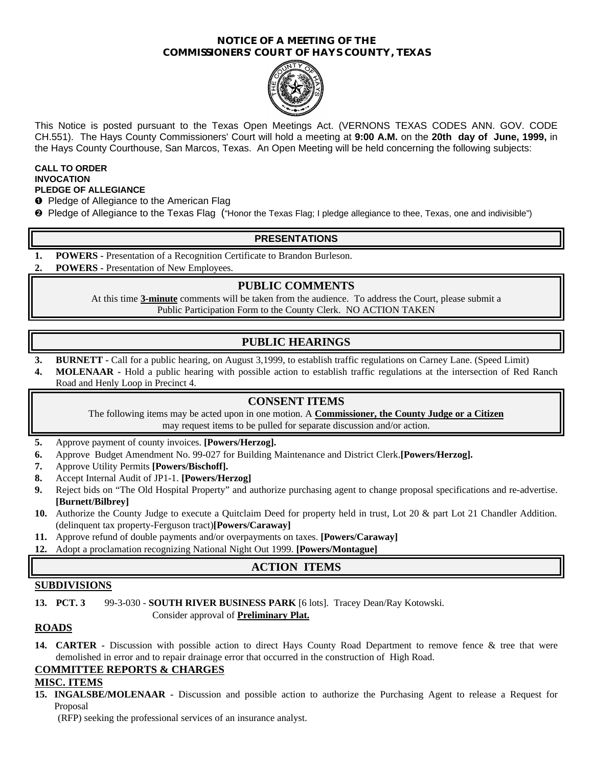#### **NOTICE OF A MEETING OF THE COMMISSIONERS' COURT OF HAYS COUNTY, TEXAS**



This Notice is posted pursuant to the Texas Open Meetings Act. (VERNONS TEXAS CODES ANN. GOV. CODE CH.551). The Hays County Commissioners' Court will hold a meeting at **9:00 A.M.** on the **20th day of June, 1999,** in the Hays County Courthouse, San Marcos, Texas. An Open Meeting will be held concerning the following subjects:

#### **CALL TO ORDER INVOCATION PLEDGE OF ALLEGIANCE**

- **O** Pledge of Allegiance to the American Flag
- <sup>2</sup> Pledge of Allegiance to the Texas Flag ("Honor the Texas Flag; I pledge allegiance to thee, Texas, one and indivisible")

### **PRESENTATIONS**

- **1. POWERS -** Presentation of a Recognition Certificate to Brandon Burleson.
- **2. POWERS -** Presentation of New Employees.

### **PUBLIC COMMENTS**

At this time **3-minute** comments will be taken from the audience. To address the Court, please submit a Public Participation Form to the County Clerk. NO ACTION TAKEN

## **PUBLIC HEARINGS**

- **3. BURNETT -** Call for a public hearing, on August 3,1999, to establish traffic regulations on Carney Lane. (Speed Limit)
- **4. MOLENAAR -** Hold a public hearing with possible action to establish traffic regulations at the intersection of Red Ranch Road and Henly Loop in Precinct 4.

### **CONSENT ITEMS**

The following items may be acted upon in one motion. A **Commissioner, the County Judge or a Citizen** may request items to be pulled for separate discussion and/or action.

- **5.** Approve payment of county invoices. **[Powers/Herzog].**
- **6.** Approve Budget Amendment No. 99-027 for Building Maintenance and District Clerk.**[Powers/Herzog].**
- **7.** Approve Utility Permits **[Powers/Bischoff].**
- **8.** Accept Internal Audit of JP1-1. **[Powers/Herzog]**
- **9.** Reject bids on "The Old Hospital Property" and authorize purchasing agent to change proposal specifications and re-advertise. **[Burnett/Bilbrey]**
- **10.** Authorize the County Judge to execute a Quitclaim Deed for property held in trust, Lot 20 & part Lot 21 Chandler Addition. (delinquent tax property-Ferguson tract)**[Powers/Caraway]**
- **11.** Approve refund of double payments and/or overpayments on taxes. **[Powers/Caraway]**
- **12.** Adopt a proclamation recognizing National Night Out 1999. **[Powers/Montague]**

# **ACTION ITEMS**

#### **SUBDIVISIONS**

**13. PCT. 3** 99-3-030 - **SOUTH RIVER BUSINESS PARK** [6 lots]. Tracey Dean/Ray Kotowski.

Consider approval of **Preliminary Plat.**

### **ROADS**

**14. CARTER -** Discussion with possible action to direct Hays County Road Department to remove fence & tree that were demolished in error and to repair drainage error that occurred in the construction of High Road.

#### **COMMITTEE REPORTS & CHARGES**

#### **MISC. ITEMS**

**15. INGALSBE/MOLENAAR -** Discussion and possible action to authorize the Purchasing Agent to release a Request for Proposal

(RFP) seeking the professional services of an insurance analyst.